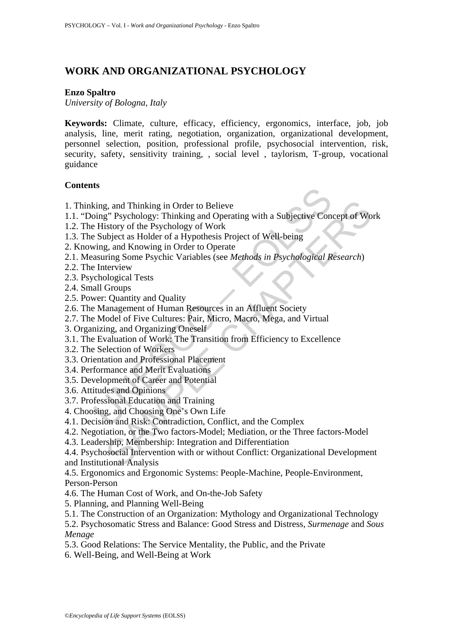# **WORK AND ORGANIZATIONAL PSYCHOLOGY**

#### **Enzo Spaltro**

*University of Bologna, Italy* 

**Keywords:** Climate, culture, efficacy, efficiency, ergonomics, interface, job, job analysis, line, merit rating, negotiation, organization, organizational development, personnel selection, position, professional profile, psychosocial intervention, risk, security, safety, sensitivity training, , social level , taylorism, T-group, vocational guidance

#### **Contents**

- 1. Thinking, and Thinking in Order to Believe
- 1.1. "Doing" Psychology: Thinking and Operating with a Subjective Concept of Work
- 1.2. The History of the Psychology of Work
- 1.3. The Subject as Holder of a Hypothesis Project of Well-being
- 2. Knowing, and Knowing in Order to Operate
- 2.1. Measuring Some Psychic Variables (see *Methods in Psychological Research*)
- 2.2. The Interview
- 2.3. Psychological Tests
- 2.4. Small Groups
- 2.5. Power: Quantity and Quality
- 2.6. The Management of Human Resources in an Affluent Society
- 2.7. The Model of Five Cultures: Pair, Micro, Macro, Mega, and Virtual
- 3. Organizing, and Organizing Oneself
- **Example 18 The School School School School School School School School School School School School School School School School School School School School School School School School School School School School School Sch** 3.1. The Evaluation of Work: The Transition from Efficiency to Excellence
- 3.2. The Selection of Workers
- 3.3. Orientation and Professional Placement
- 3.4. Performance and Merit Evaluations
- 3.5. Development of Career and Potential
- 3.6. Attitudes and Opinions
- 3.7. Professional Education and Training
- 4. Choosing, and Choosing One's Own Life
- 4.1. Decision and Risk: Contradiction, Conflict, and the Complex
- 4.2. Negotiation, or the Two factors-Model; Mediation, or the Three factors-Model
- 4.3. Leadership, Membership: Integration and Differentiation

3, and Thinking in Order to Believe<br>
2, and Thinking in Order to Believe<br>
3<sup>2</sup> Psychology: Thinking and Operating with a Subjective Concept of Wo<br>
1616 Hystology of Work<br>
1616 Hystological Test<br>
3, and Knowing in Order to 4.4. Psychosocial Intervention with or without Conflict: Organizational Development and Institutional Analysis

4.5. Ergonomics and Ergonomic Systems: People-Machine, People-Environment,

Person-Person

- 4.6. The Human Cost of Work, and On-the-Job Safety
- 5. Planning, and Planning Well-Being
- 5.1. The Construction of an Organization: Mythology and Organizational Technology
- 5.2. Psychosomatic Stress and Balance: Good Stress and Distress, *Surmenage* and *Sous Menage*
- 5.3. Good Relations: The Service Mentality, the Public, and the Private
- 6. Well-Being, and Well-Being at Work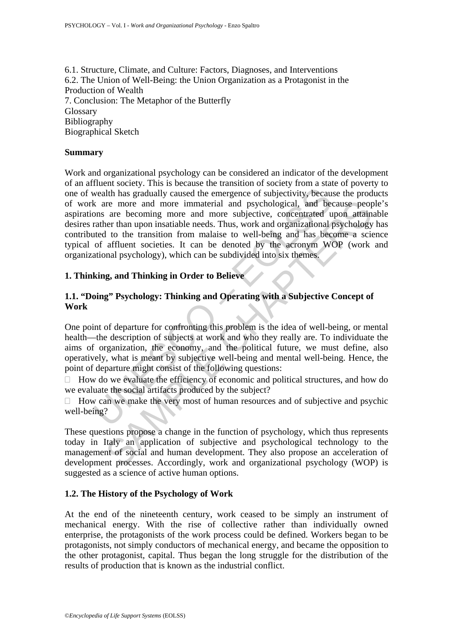6.1. Structure, Climate, and Culture: Factors, Diagnoses, and Interventions 6.2. The Union of Well-Being: the Union Organization as a Protagonist in the Production of Wealth 7. Conclusion: The Metaphor of the Butterfly **Glossary** Bibliography Biographical Sketch

#### **Summary**

wealth has gradually caused the emergence of subjectivity, because wealth has gradually caused the emergence of subjectivity, because  $k$  are more and more immatainel needs. Thus, work and organizational tuted to the trans are heoromig more immaterial and psychological, and because peop<br>are than upon instaitable needs. Thus, work and organizational psychology<br>1 to the transition from malaise to well-being and has become a sci<br>affluent societ Work and organizational psychology can be considered an indicator of the development of an affluent society. This is because the transition of society from a state of poverty to one of wealth has gradually caused the emergence of subjectivity, because the products of work are more and more immaterial and psychological, and because people's aspirations are becoming more and more subjective, concentrated upon attainable desires rather than upon insatiable needs. Thus, work and organizational psychology has contributed to the transition from malaise to well-being and has become a science typical of affluent societies. It can be denoted by the acronym WOP (work and organizational psychology), which can be subdivided into six themes.

#### **1. Thinking, and Thinking in Order to Believe**

#### **1.1. "Doing" Psychology: Thinking and Operating with a Subjective Concept of Work**

One point of departure for confronting this problem is the idea of well-being, or mental health—the description of subjects at work and who they really are. To individuate the aims of organization, the economy, and the political future, we must define, also operatively, what is meant by subjective well-being and mental well-being. Hence, the point of departure might consist of the following questions:

 $\Box$  How do we evaluate the efficiency of economic and political structures, and how do we evaluate the social artifacts produced by the subject?

 $\Box$  How can we make the very most of human resources and of subjective and psychic well-being?

These questions propose a change in the function of psychology, which thus represents today in Italy an application of subjective and psychological technology to the management of social and human development. They also propose an acceleration of development processes. Accordingly, work and organizational psychology (WOP) is suggested as a science of active human options.

#### **1.2. The History of the Psychology of Work**

At the end of the nineteenth century, work ceased to be simply an instrument of mechanical energy. With the rise of collective rather than individually owned enterprise, the protagonists of the work process could be defined. Workers began to be protagonists, not simply conductors of mechanical energy, and became the opposition to the other protagonist, capital. Thus began the long struggle for the distribution of the results of production that is known as the industrial conflict.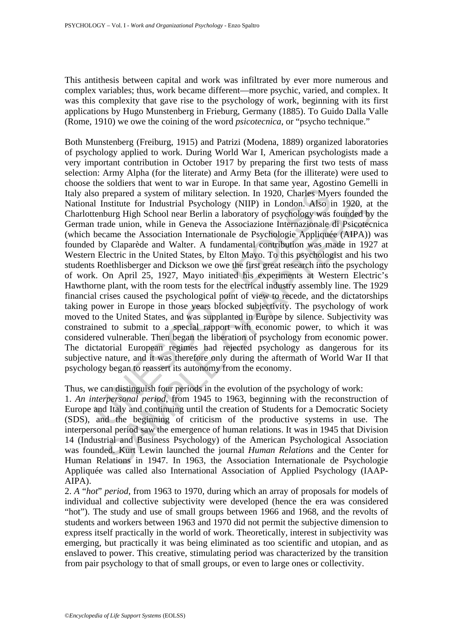This antithesis between capital and work was infiltrated by ever more numerous and complex variables; thus, work became different—more psychic, varied, and complex. It was this complexity that gave rise to the psychology of work, beginning with its first applications by Hugo Munstenberg in Frieburg, Germany (1885). To Guido Dalla Valle (Rome, 1910) we owe the coining of the word *psicotecnica*, or "psycho technique."

so prepared a system of military selection. In 1920, Charles Myel Institute for Industrial Psychology (NIIP) in London. Also itenburg High School near Berlin a laboratory of psychology was trade union, while in Geneva the nstitute for Industrial Psychology (NIIP) in London. Also in 1920, at<br>bury High School near Berlin a laboratory of psychology was founded by<br>undel union, while in Geneva the Associazione Internazionale di Psicotec<br>ame the Both Munstenberg (Freiburg, 1915) and Patrizi (Modena, 1889) organized laboratories of psychology applied to work. During World War I, American psychologists made a very important contribution in October 1917 by preparing the first two tests of mass selection: Army Alpha (for the literate) and Army Beta (for the illiterate) were used to choose the soldiers that went to war in Europe. In that same year, Agostino Gemelli in Italy also prepared a system of military selection. In 1920, Charles Myers founded the National Institute for Industrial Psychology (NIIP) in London. Also in 1920, at the Charlottenburg High School near Berlin a laboratory of psychology was founded by the German trade union, while in Geneva the Associazione Internazionale di Psicotecnica (which became the Association Internationale de Psychologie Appliquée (AIPA)) was founded by Claparède and Walter. A fundamental contribution was made in 1927 at Western Electric in the United States, by Elton Mayo. To this psychologist and his two students Roethlisberger and Dickson we owe the first great research into the psychology of work. On April 25, 1927, Mayo initiated his experiments at Western Electric's Hawthorne plant, with the room tests for the electrical industry assembly line. The 1929 financial crises caused the psychological point of view to recede, and the dictatorships taking power in Europe in those years blocked subjectivity. The psychology of work moved to the United States, and was supplanted in Europe by silence. Subjectivity was constrained to submit to a special rapport with economic power, to which it was considered vulnerable. Then began the liberation of psychology from economic power. The dictatorial European regimes had rejected psychology as dangerous for its subjective nature, and it was therefore only during the aftermath of World War II that psychology began to reassert its autonomy from the economy.

Thus, we can distinguish four periods in the evolution of the psychology of work:

1. *An interpersonal period*, from 1945 to 1963, beginning with the reconstruction of Europe and Italy and continuing until the creation of Students for a Democratic Society (SDS), and the beginning of criticism of the productive systems in use. The interpersonal period saw the emergence of human relations. It was in 1945 that Division 14 (Industrial and Business Psychology) of the American Psychological Association was founded. Kurt Lewin launched the journal *Human Relations* and the Center for Human Relations in 1947. In 1963, the Association Internationale de Psychologie Appliquée was called also International Association of Applied Psychology (IAAP-AIPA).

2. *A* "*hot*" *period*, from 1963 to 1970, during which an array of proposals for models of individual and collective subjectivity were developed (hence the era was considered "hot"). The study and use of small groups between 1966 and 1968, and the revolts of students and workers between 1963 and 1970 did not permit the subjective dimension to express itself practically in the world of work. Theoretically, interest in subjectivity was emerging, but practically it was being eliminated as too scientific and utopian, and as enslaved to power. This creative, stimulating period was characterized by the transition from pair psychology to that of small groups, or even to large ones or collectivity.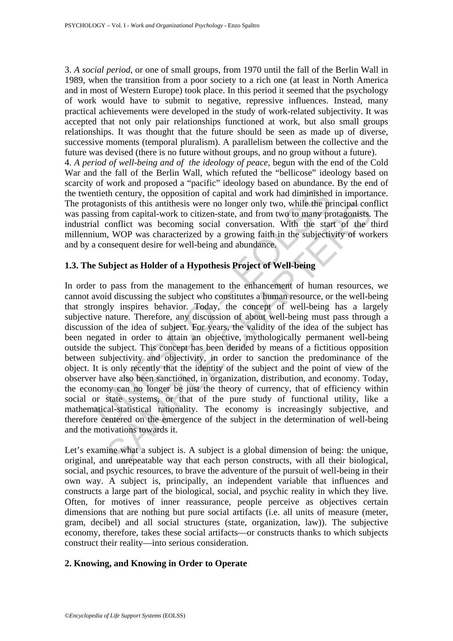3. *A social period*, or one of small groups, from 1970 until the fall of the Berlin Wall in 1989, when the transition from a poor society to a rich one (at least in North America and in most of Western Europe) took place. In this period it seemed that the psychology of work would have to submit to negative, repressive influences. Instead, many practical achievements were developed in the study of work-related subjectivity. It was accepted that not only pair relationships functioned at work, but also small groups relationships. It was thought that the future should be seen as made up of diverse, successive moments (temporal pluralism). A parallelism between the collective and the future was devised (there is no future without groups, and no group without a future). 4. *A period of well-being and of the ideology of peace*, begun with the end of the Cold War and the fall of the Berlin Wall, which refuted the "bellicose" ideology based on scarcity of work and proposed a "pacific" ideology based on abundance. By the end of the twentieth century, the opposition of capital and work had diminished in importance.

The protagonists of this antithesis were no longer only two, while the principal conflict was passing from capital-work to citizen-state, and from two to many protagonists. The industrial conflict was becoming social conversation. With the start of the third millennium, WOP was characterized by a growing faith in the subjectivity of workers and by a consequent desire for well-being and abundance.

#### **1.3. The Subject as Holder of a Hypothesis Project of Well-being**

the contury, the opposition of capital and work had diminished<br>tagonists of this antithesis were no longer only two, while the pr<br>sing from capital-work to citizen-state, and from two to many pra<br>la conflict was becoming s onists of this antithesis were no longer only two, while the principal con<br>
grim capital-work to citizen-state, and from two tomary protagonists.<br>
conflict was becoming social conversation. With the start of the t<br>
i, WOP In order to pass from the management to the enhancement of human resources, we cannot avoid discussing the subject who constitutes a human resource, or the well-being that strongly inspires behavior. Today, the concept of well-being has a largely subjective nature. Therefore, any discussion of about well-being must pass through a discussion of the idea of subject. For years, the validity of the idea of the subject has been negated in order to attain an objective, mythologically permanent well-being outside the subject. This concept has been derided by means of a fictitious opposition between subjectivity and objectivity, in order to sanction the predominance of the object. It is only recently that the identity of the subject and the point of view of the observer have also been sanctioned, in organization, distribution, and economy. Today, the economy can no longer be just the theory of currency, that of efficiency within social or state systems, or that of the pure study of functional utility, like a mathematical-statistical rationality. The economy is increasingly subjective, and therefore centered on the emergence of the subject in the determination of well-being and the motivations towards it.

Let's examine what a subject is. A subject is a global dimension of being: the unique, original, and unrepeatable way that each person constructs, with all their biological, social, and psychic resources, to brave the adventure of the pursuit of well-being in their own way. A subject is, principally, an independent variable that influences and constructs a large part of the biological, social, and psychic reality in which they live. Often, for motives of inner reassurance, people perceive as objectives certain dimensions that are nothing but pure social artifacts (i.e. all units of measure (meter, gram, decibel) and all social structures (state, organization, law)). The subjective economy, therefore, takes these social artifacts—or constructs thanks to which subjects construct their reality—into serious consideration.

#### **2. Knowing, and Knowing in Order to Operate**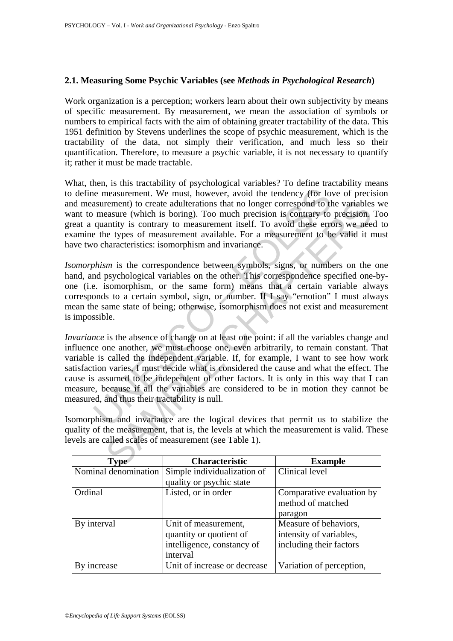#### **2.1. Measuring Some Psychic Variables (see** *Methods in Psychological Research***)**

Work organization is a perception; workers learn about their own subjectivity by means of specific measurement. By measurement, we mean the association of symbols or numbers to empirical facts with the aim of obtaining greater tractability of the data. This 1951 definition by Stevens underlines the scope of psychic measurement, which is the tractability of the data, not simply their verification, and much less so their quantification. Therefore, to measure a psychic variable, it is not necessary to quantify it; rather it must be made tractable.

What, then, is this tractability of psychological variables? To define tractability means to define measurement. We must, however, avoid the tendency (for love of precision and measurement) to create adulterations that no longer correspond to the variables we want to measure (which is boring). Too much precision is contrary to precision. Too great a quantity is contrary to measurement itself. To avoid these errors we need to examine the types of measurement available. For a measurement to be valid it must have two characteristics: isomorphism and invariance.

*Isomorphism* is the correspondence between symbols, signs, or numbers on the one hand, and psychological variables on the other. This correspondence specified one-byone (i.e. isomorphism, or the same form) means that a certain variable always corresponds to a certain symbol, sign, or number. If I say "emotion" I must always mean the same state of being; otherwise, isomorphism does not exist and measurement is impossible.

is a measurement. We must, however, avoid the tendency (for low<br>asurement) to create adulterations that no longer correspond to the<br>asurement of the soring). Too much precision is contrary to<br>quantity is contrary to measur rement) to create adulterations that no longer correspond to the variables<br>assure (which is broiring). Too much precision is contrary to precision.<br>matrity is contrary to measurement itself. To avoid these errors we nee<br>to *Invariance* is the absence of change on at least one point: if all the variables change and influence one another, we must choose one, even arbitrarily, to remain constant. That variable is called the independent variable. If, for example, I want to see how work satisfaction varies, I must decide what is considered the cause and what the effect. The cause is assumed to be independent of other factors. It is only in this way that I can measure, because if all the variables are considered to be in motion they cannot be measured, and thus their tractability is null.

Isomorphism and invariance are the logical devices that permit us to stabilize the quality of the measurement, that is, the levels at which the measurement is valid. These levels are called scales of measurement (see Table 1).

| <b>Type</b>          | <b>Characteristic</b>        | <b>Example</b>            |
|----------------------|------------------------------|---------------------------|
| Nominal denomination | Simple individualization of  | Clinical level            |
|                      | quality or psychic state     |                           |
| Ordinal              | Listed, or in order          | Comparative evaluation by |
|                      |                              | method of matched         |
|                      |                              | paragon                   |
| By interval          | Unit of measurement,         | Measure of behaviors,     |
|                      | quantity or quotient of      | intensity of variables,   |
|                      | intelligence, constancy of   | including their factors   |
|                      | interval                     |                           |
| increase             | Unit of increase or decrease | Variation of perception,  |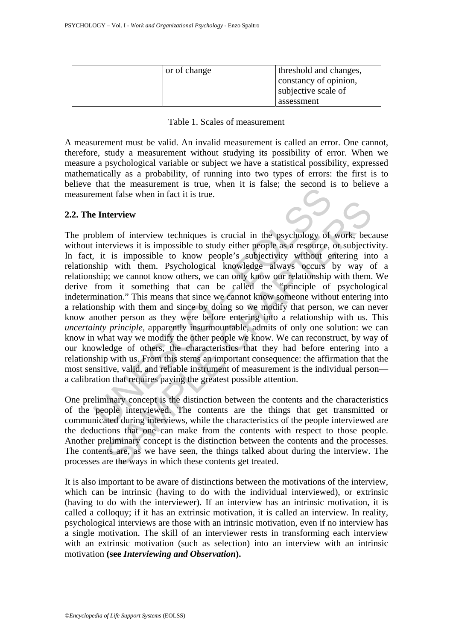| or of change | threshold and changes, |
|--------------|------------------------|
|              | constancy of opinion,  |
|              | subjective scale of    |
|              | assessment             |

Table 1. Scales of measurement

A measurement must be valid. An invalid measurement is called an error. One cannot, therefore, study a measurement without studying its possibility of error. When we measure a psychological variable or subject we have a statistical possibility, expressed mathematically as a probability, of running into two types of errors: the first is to believe that the measurement is true, when it is false; the second is to believe a measurement false when in fact it is true.

### **2.2. The Interview**

The means that is the content of measurement false when in fact it is true.<br> **Enterview**<br> **Enterview**<br> **Enterview**<br> **Solution** of interview techniques is crucial in the psychology of<br>
interviews it is impossible to know pe therview<br>
therview<br>
terviews it is impossible to study either people as a resource, or subjecti<br>
is impossible to know people's subjectivity without entering in<br>
it so incomplest to know people's explore and a resource, or The problem of interview techniques is crucial in the psychology of work, because without interviews it is impossible to study either people as a resource, or subjectivity. In fact, it is impossible to know people's subjectivity without entering into a relationship with them. Psychological knowledge always occurs by way of a relationship; we cannot know others, we can only know our relationship with them. We derive from it something that can be called the "principle of psychological indetermination." This means that since we cannot know someone without entering into a relationship with them and since by doing so we modify that person, we can never know another person as they were before entering into a relationship with us. This *uncertainty principle*, apparently insurmountable, admits of only one solution: we can know in what way we modify the other people we know. We can reconstruct, by way of our knowledge of others, the characteristics that they had before entering into a relationship with us. From this stems an important consequence: the affirmation that the most sensitive, valid, and reliable instrument of measurement is the individual person a calibration that requires paying the greatest possible attention.

One preliminary concept is the distinction between the contents and the characteristics of the people interviewed. The contents are the things that get transmitted or communicated during interviews, while the characteristics of the people interviewed are the deductions that one can make from the contents with respect to those people. Another preliminary concept is the distinction between the contents and the processes. The contents are, as we have seen, the things talked about during the interview. The processes are the ways in which these contents get treated.

It is also important to be aware of distinctions between the motivations of the interview, which can be intrinsic (having to do with the individual interviewed), or extrinsic (having to do with the interviewer). If an interview has an intrinsic motivation, it is called a colloquy; if it has an extrinsic motivation, it is called an interview. In reality, psychological interviews are those with an intrinsic motivation, even if no interview has a single motivation. The skill of an interviewer rests in transforming each interview with an extrinsic motivation (such as selection) into an interview with an intrinsic motivation **(see** *Interviewing and Observation***).**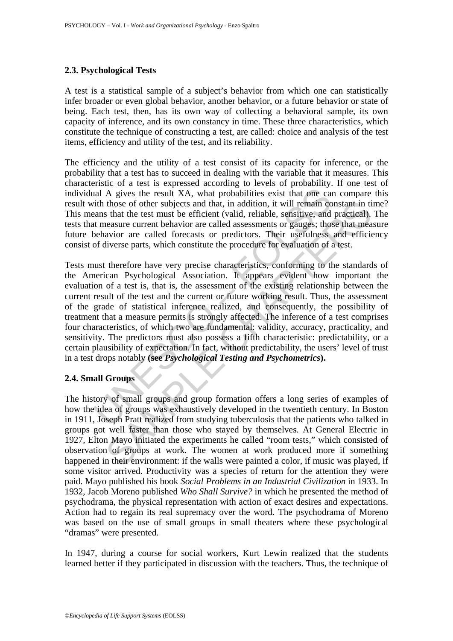### **2.3. Psychological Tests**

A test is a statistical sample of a subject's behavior from which one can statistically infer broader or even global behavior, another behavior, or a future behavior or state of being. Each test, then, has its own way of collecting a behavioral sample, its own capacity of inference, and its own constancy in time. These three characteristics, which constitute the technique of constructing a test, are called: choice and analysis of the test items, efficiency and utility of the test, and its reliability.

The efficiency and the utility of a test consist of its capacity for inference, or the probability that a test has to succeed in dealing with the variable that it measures. This characteristic of a test is expressed according to levels of probability. If one test of individual A gives the result XA, what probabilities exist that one can compare this result with those of other subjects and that, in addition, it will remain constant in time? This means that the test must be efficient (valid, reliable, sensitive, and practical). The tests that measure current behavior are called assessments or gauges; those that measure future behavior are called forecasts or predictors. Their usefulness and efficiency consist of diverse parts, which constitute the procedure for evaluation of a test.

and A gives the result XA, what probabilities exist that one can<br>id and A gives the result XA, what probabilities exist that one can<br>id those of other subjects and that, in addition, it will remain co<br>ans that the test mus those of other subjects and that, in addition, it will remain constant in ti<br>that the test must be efficient (valid, reliable, sensitive, and practical).<br>Instant the reasure current behavior are called assessments or gauge Tests must therefore have very precise characteristics, conforming to the standards of the American Psychological Association. It appears evident how important the evaluation of a test is, that is, the assessment of the existing relationship between the current result of the test and the current or future working result. Thus, the assessment of the grade of statistical inference realized, and consequently, the possibility of treatment that a measure permits is strongly affected. The inference of a test comprises four characteristics, of which two are fundamental: validity, accuracy, practicality, and sensitivity. The predictors must also possess a fifth characteristic: predictability, or a certain plausibility of expectation. In fact, without predictability, the users' level of trust in a test drops notably **(see** *Psychological Testing and Psychometrics***).** 

## **2.4. Small Groups**

The history of small groups and group formation offers a long series of examples of how the idea of groups was exhaustively developed in the twentieth century. In Boston in 1911, Joseph Pratt realized from studying tuberculosis that the patients who talked in groups got well faster than those who stayed by themselves. At General Electric in 1927, Elton Mayo initiated the experiments he called "room tests," which consisted of observation of groups at work. The women at work produced more if something happened in their environment: if the walls were painted a color, if music was played, if some visitor arrived. Productivity was a species of return for the attention they were paid. Mayo published his book *Social Problems in an Industrial Civilization* in 1933. In 1932, Jacob Moreno published *Who Shall Survive?* in which he presented the method of psychodrama, the physical representation with action of exact desires and expectations. Action had to regain its real supremacy over the word. The psychodrama of Moreno was based on the use of small groups in small theaters where these psychological "dramas" were presented.

In 1947, during a course for social workers, Kurt Lewin realized that the students learned better if they participated in discussion with the teachers. Thus, the technique of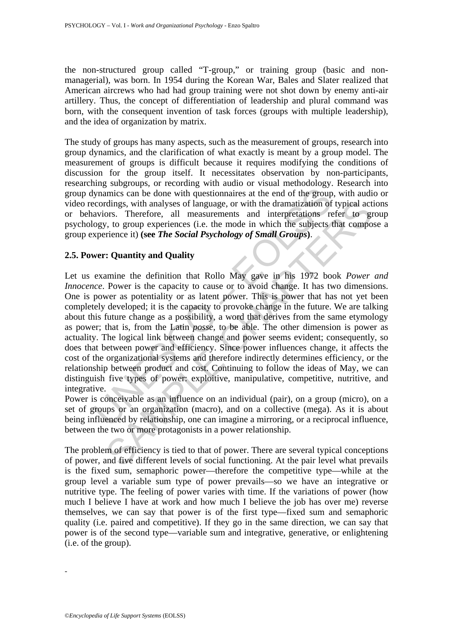the non-structured group called "T-group," or training group (basic and nonmanagerial), was born. In 1954 during the Korean War, Bales and Slater realized that American aircrews who had had group training were not shot down by enemy anti-air artillery. Thus, the concept of differentiation of leadership and plural command was born, with the consequent invention of task forces (groups with multiple leadership), and the idea of organization by matrix.

The study of groups has many aspects, such as the measurement of groups, research into group dynamics, and the clarification of what exactly is meant by a group model. The measurement of groups is difficult because it requires modifying the conditions of discussion for the group itself. It necessitates observation by non-participants, researching subgroups, or recording with audio or visual methodology. Research into group dynamics can be done with questionnaires at the end of the group, with audio or video recordings, with analyses of language, or with the dramatization of typical actions or behaviors. Therefore, all measurements and interpretations refer to group psychology, to group experiences (i.e. the mode in which the subjects that compose a group experience it) **(see** *The Social Psychology of Small Groups***)**.

### **2.5. Power: Quantity and Quality**

byamics can be done with questionnaires at the end of the group<br>coordings, with analyses of language, or with the dramatization of<br>aviors. Therefore, all measurements and interpretations ready, to group experiences (i.e. rdings, with analyses of language, or with the dramatization of typical act<br>
orors. Therefore, all measurements and interpretations refer to gradic<br>
orors. Therefore, all measurements and interpretations refer to<br>
cyclome Let us examine the definition that Rollo May gave in his 1972 book *Power and Innocence*. Power is the capacity to cause or to avoid change. It has two dimensions. One is power as potentiality or as latent power. This is power that has not yet been completely developed; it is the capacity to provoke change in the future. We are talking about this future change as a possibility, a word that derives from the same etymology as power; that is, from the Latin *posse*, to be able. The other dimension is power as actuality. The logical link between change and power seems evident; consequently, so does that between power and efficiency. Since power influences change, it affects the cost of the organizational systems and therefore indirectly determines efficiency, or the relationship between product and cost. Continuing to follow the ideas of May, we can distinguish five types of power: exploitive, manipulative, competitive, nutritive, and integrative.

Power is conceivable as an influence on an individual (pair), on a group (micro), on a set of groups or an organization (macro), and on a collective (mega). As it is about being influenced by relationship, one can imagine a mirroring, or a reciprocal influence, between the two or more protagonists in a power relationship.

The problem of efficiency is tied to that of power. There are several typical conceptions of power, and five different levels of social functioning. At the pair level what prevails is the fixed sum, semaphoric power—therefore the competitive type—while at the group level a variable sum type of power prevails—so we have an integrative or nutritive type. The feeling of power varies with time. If the variations of power (how much I believe I have at work and how much I believe the job has over me) reverse themselves, we can say that power is of the first type—fixed sum and semaphoric quality (i.e. paired and competitive). If they go in the same direction, we can say that power is of the second type—variable sum and integrative, generative, or enlightening (i.e. of the group).

-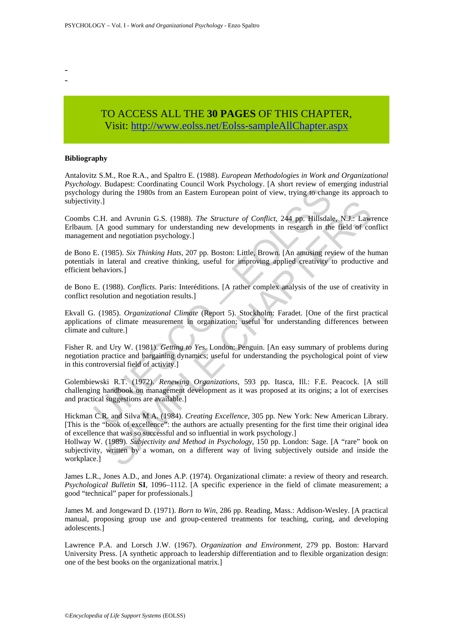TO ACCESS ALL THE **30 PAGES** OF THIS CHAPTER, Visit[: http://www.eolss.net/Eolss-sampleAllChapter.aspx](https://www.eolss.net/ebooklib/sc_cart.aspx?File=E6-27-01-07)

#### **Bibliography**

- -

Antalovitz S.M., Roe R.A., and Spaltro E. (1988). *European Methodologies in Work and Organizational Psychology*. Budapest: Coordinating Council Work Psychology. [A short review of emerging industrial psychology during the 1980s from an Eastern European point of view, trying to change its approach to subjectivity.]

Coombs C.H. and Avrunin G.S. (1988). *The Structure of Conflict*, 244 pp. Hillsdale, N.J.: Lawrence Erlbaum. [A good summary for understanding new developments in research in the field of conflict management and negotiation psychology.]

de Bono E. (1985). *Six Thinking Hats,* 207 pp. Boston: Little, Brown. [An amusing review of the human potentials in lateral and creative thinking, useful for improving applied creativity to productive and efficient behaviors.]

de Bono E. (1988). *Conflicts*. Paris: Interéditions. [A rather complex analysis of the use of creativity in conflict resolution and negotiation results.]

Ekvall G. (1985). *Organizational Climate* (Report 5). Stockholm: Faradet. [One of the first practical applications of climate measurement in organization; useful for understanding differences between climate and culture.]

So Paradiation and Eastern European point of view, trying to change<br>ity during the 1980s from an Eastern European point of view, trying to change<br>I(A good summary for understanding new developments in research in the<br>net I. and Avrunin G.S. (1988). *The Structure of Conflict*, 244 pp. Hillsdale, N.J.: Law good summary for understanding new developments in research in the field of condination psychology.]<br>and negotiation psychology.] and n Fisher R. and Ury W. (1981). *Getting to Yes*. London: Penguin. [An easy summary of problems during negotiation practice and bargaining dynamics; useful for understanding the psychological point of view in this controversial field of activity.]

Golembiewski R.T. (1972). *Renewing Organizations*, 593 pp. Itasca, Ill.: F.E. Peacock. [A still challenging handbook on management development as it was proposed at its origins; a lot of exercises and practical suggestions are available.]

Hickman C.R. and Silva M.A. (1984). *Creating Excellence*, 305 pp. New York: New American Library. [This is the "book of excellence": the authors are actually presenting for the first time their original idea of excellence that was so successful and so influential in work psychology.]

Hollway W. (1989). *Subjectivity and Method in Psychology*, 150 pp. London: Sage. [A "rare" book on subjectivity, written by a woman, on a different way of living subjectively outside and inside the workplace.]

James L.R., Jones A.D., and Jones A.P. (1974). Organizational climate: a review of theory and research. *Psychological Bulletin* **SI**, 1096–1112. [A specific experience in the field of climate measurement; a good "technical" paper for professionals.]

James M. and Jongeward D. (1971). *Born to Win*, 286 pp. Reading, Mass.: Addison-Wesley. [A practical manual, proposing group use and group-centered treatments for teaching, curing, and developing adolescents.]

Lawrence P.A. and Lorsch J.W. (1967). *Organization and Environment*, 279 pp. Boston: Harvard University Press. [A synthetic approach to leadership differentiation and to flexible organization design: one of the best books on the organizational matrix.]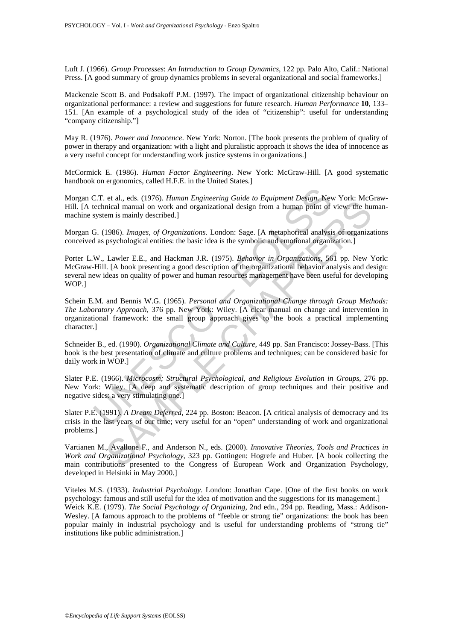Luft J. (1966). *Group Processes*: *An Introduction to Group Dynamics*, 122 pp. Palo Alto, Calif.: National Press. [A good summary of group dynamics problems in several organizational and social frameworks.]

Mackenzie Scott B. and Podsakoff P.M. (1997). The impact of organizational citizenship behaviour on organizational performance: a review and suggestions for future research. *Human Performance* **10**, 133– 151. [An example of a psychological study of the idea of "citizenship": useful for understanding "company citizenship."]

May R. (1976). *Power and Innocence*. New York: Norton. [The book presents the problem of quality of power in therapy and organization: with a light and pluralistic approach it shows the idea of innocence as a very useful concept for understanding work justice systems in organizations.]

McCormick E. (1986). *Human Factor Engineering*. New York: McGraw-Hill. [A good systematic handbook on ergonomics, called H.F.E. in the United States.]

Morgan C.T. et al., eds. (1976). *Human Engineering Guide to Equipment Design*. New York: McGraw-Hill. [A technical manual on work and organizational design from a human point of view: the humanmachine system is mainly described.]

Morgan G. (1986). *Images, of Organizations*. London: Sage. [A metaphorical analysis of organizations conceived as psychological entities: the basic idea is the symbolic and emotional organization.]

C.T. et al., eds. (1976). *Human Engineering Guide to Equipment Design*. Nevechnical manual on work and organizational design from a human point of system is mainly described.]<br>
G. (1986). *Images, of Organizations*. Londo et at, case. (1976). *Innuan Engineering Galac to Equippenia Essayi, see Takanianal on work and organizational design from a hunan point of view the hundred manual on work and organizations London: Sage. [A metaphorical a* Porter L.W., Lawler E.E., and Hackman J.R. (1975). *Behavior in Organizations*, 561 pp. New York: McGraw-Hill. [A book presenting a good description of the organizational behavior analysis and design: several new ideas on quality of power and human resources management have been useful for developing WOP.]

Schein E.M. and Bennis W.G. (1965). *Personal and Organizational Change through Group Methods: The Laboratory Approach*, 376 pp. New York: Wiley. [A clear manual on change and intervention in organizational framework: the small group approach gives to the book a practical implementing character.]

Schneider B., ed. (1990). *Organizational Climate and Culture,* 449 pp. San Francisco: Jossey-Bass. [This book is the best presentation of climate and culture problems and techniques; can be considered basic for daily work in WOP.]

Slater P.E. (1966). *Microcosm; Structural Psychological, and Religious Evolution in Groups*, 276 pp. New York: Wiley. [A deep and systematic description of group techniques and their positive and negative sides: a very stimulating one.]

Slater P.E. (1991). *A Dream Deferred*, 224 pp. Boston: Beacon. [A critical analysis of democracy and its crisis in the last years of our time; very useful for an "open" understanding of work and organizational problems.]

Vartianen M., Avallone F., and Anderson N., eds. (2000). *Innovative Theories, Tools and Practices in Work and Organizational Psychology*, 323 pp. Gottingen: Hogrefe and Huber. [A book collecting the main contributions presented to the Congress of European Work and Organization Psychology, developed in Helsinki in May 2000.]

Viteles M.S. (1933). *Industrial Psychology*. London: Jonathan Cape. [One of the first books on work psychology: famous and still useful for the idea of motivation and the suggestions for its management.] Weick K.E. (1979). *The Social Psychology of Organizing*, 2nd edn., 294 pp. Reading, Mass.: Addison-Wesley. [A famous approach to the problems of "feeble or strong tie" organizations: the book has been popular mainly in industrial psychology and is useful for understanding problems of "strong tie" institutions like public administration.]